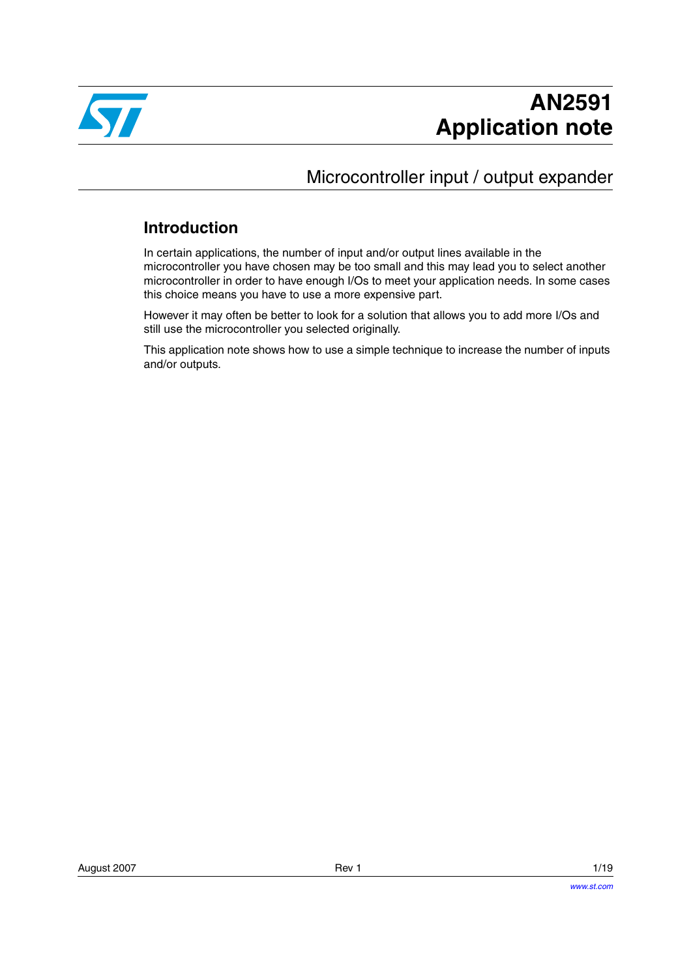

## Microcontroller input / output expander

## **Introduction**

In certain applications, the number of input and/or output lines available in the microcontroller you have chosen may be too small and this may lead you to select another microcontroller in order to have enough I/Os to meet your application needs. In some cases this choice means you have to use a more expensive part.

However it may often be better to look for a solution that allows you to add more I/Os and still use the microcontroller you selected originally.

This application note shows how to use a simple technique to increase the number of inputs and/or outputs.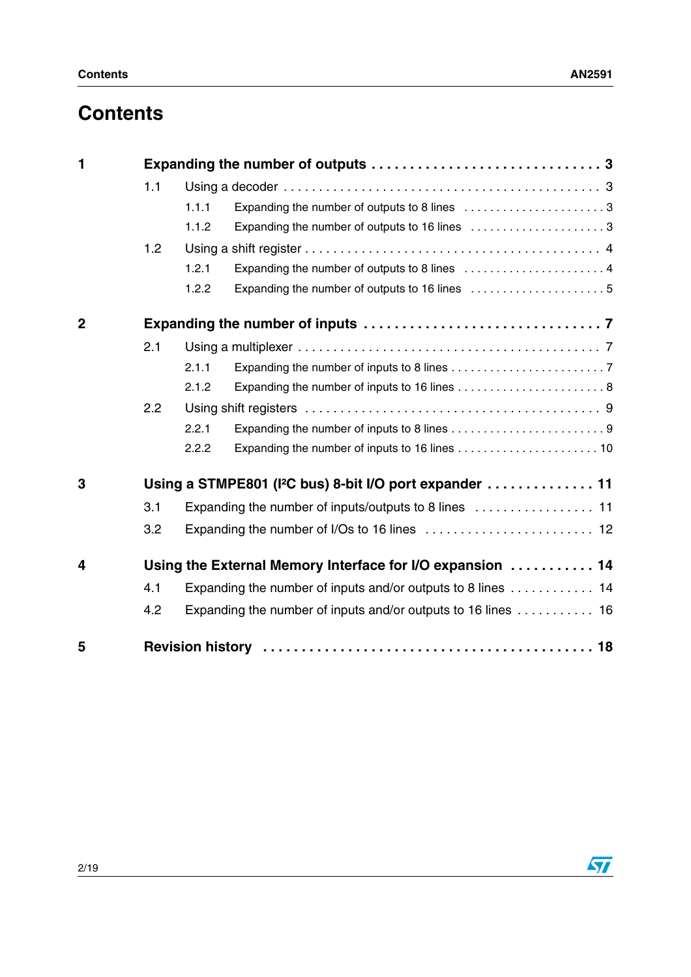# **Contents**

| 1              |                                                                     |                                                              |                                                               |  |  |  |
|----------------|---------------------------------------------------------------------|--------------------------------------------------------------|---------------------------------------------------------------|--|--|--|
|                | 1.1                                                                 |                                                              |                                                               |  |  |  |
|                |                                                                     | 1.1.1                                                        | Expanding the number of outputs to 8 lines 3                  |  |  |  |
|                |                                                                     | 1.1.2                                                        | Expanding the number of outputs to 16 lines 3                 |  |  |  |
|                | 1.2                                                                 |                                                              |                                                               |  |  |  |
|                |                                                                     | 1.2.1                                                        |                                                               |  |  |  |
|                |                                                                     | 1.2.2                                                        |                                                               |  |  |  |
| $\overline{2}$ |                                                                     |                                                              |                                                               |  |  |  |
|                | 2.1                                                                 |                                                              |                                                               |  |  |  |
|                |                                                                     | 2.1.1                                                        |                                                               |  |  |  |
|                |                                                                     | 2.1.2                                                        |                                                               |  |  |  |
|                | 2.2                                                                 |                                                              |                                                               |  |  |  |
|                |                                                                     | 2.2.1                                                        |                                                               |  |  |  |
|                |                                                                     | 2.2.2                                                        |                                                               |  |  |  |
| 3              | Using a STMPE801 (I <sup>2</sup> C bus) 8-bit I/O port expander  11 |                                                              |                                                               |  |  |  |
|                | 3.1                                                                 |                                                              |                                                               |  |  |  |
|                | 3.2                                                                 |                                                              |                                                               |  |  |  |
| 4              | Using the External Memory Interface for I/O expansion  14           |                                                              |                                                               |  |  |  |
|                | 4.1                                                                 | Expanding the number of inputs and/or outputs to 8 lines  14 |                                                               |  |  |  |
|                | 4.2                                                                 |                                                              | Expanding the number of inputs and/or outputs to 16 lines  16 |  |  |  |
| 5              |                                                                     |                                                              |                                                               |  |  |  |

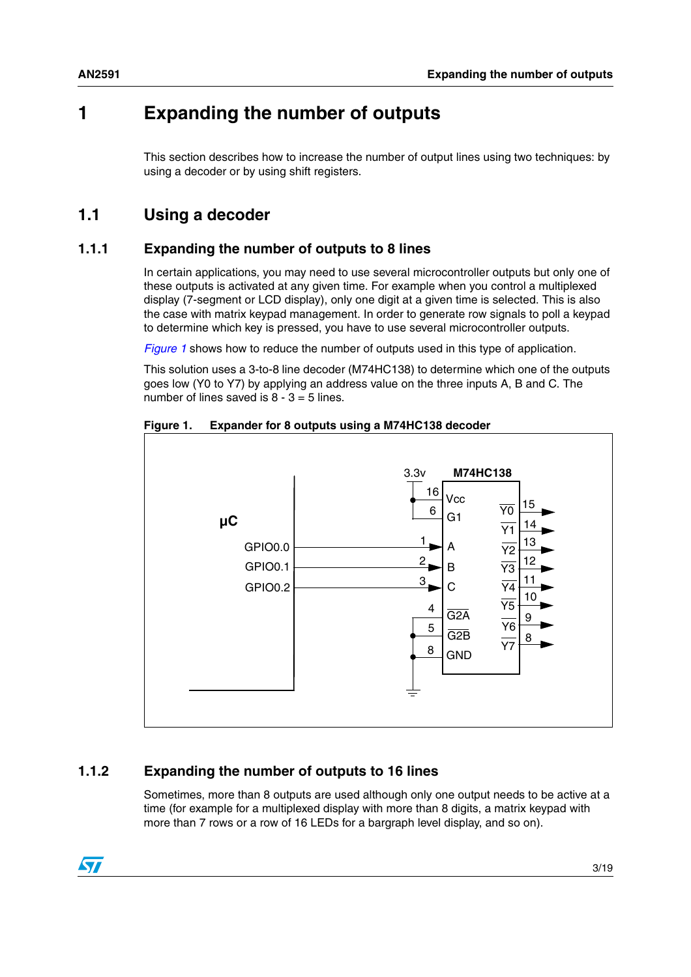## <span id="page-2-0"></span>**1 Expanding the number of outputs**

This section describes how to increase the number of output lines using two techniques: by using a decoder or by using shift registers.

## <span id="page-2-1"></span>**1.1 Using a decoder**

#### <span id="page-2-2"></span>**1.1.1 Expanding the number of outputs to 8 lines**

In certain applications, you may need to use several microcontroller outputs but only one of these outputs is activated at any given time. For example when you control a multiplexed display (7-segment or LCD display), only one digit at a given time is selected. This is also the case with matrix keypad management. In order to generate row signals to poll a keypad to determine which key is pressed, you have to use several microcontroller outputs.

*[Figure 1](#page-2-4)* shows how to reduce the number of outputs used in this type of application.

This solution uses a 3-to-8 line decoder (M74HC138) to determine which one of the outputs goes low (Y0 to Y7) by applying an address value on the three inputs A, B and C. The number of lines saved is  $8 - 3 = 5$  lines.



<span id="page-2-4"></span>

#### <span id="page-2-3"></span>**1.1.2 Expanding the number of outputs to 16 lines**

Sometimes, more than 8 outputs are used although only one output needs to be active at a time (for example for a multiplexed display with more than 8 digits, a matrix keypad with more than 7 rows or a row of 16 LEDs for a bargraph level display, and so on).

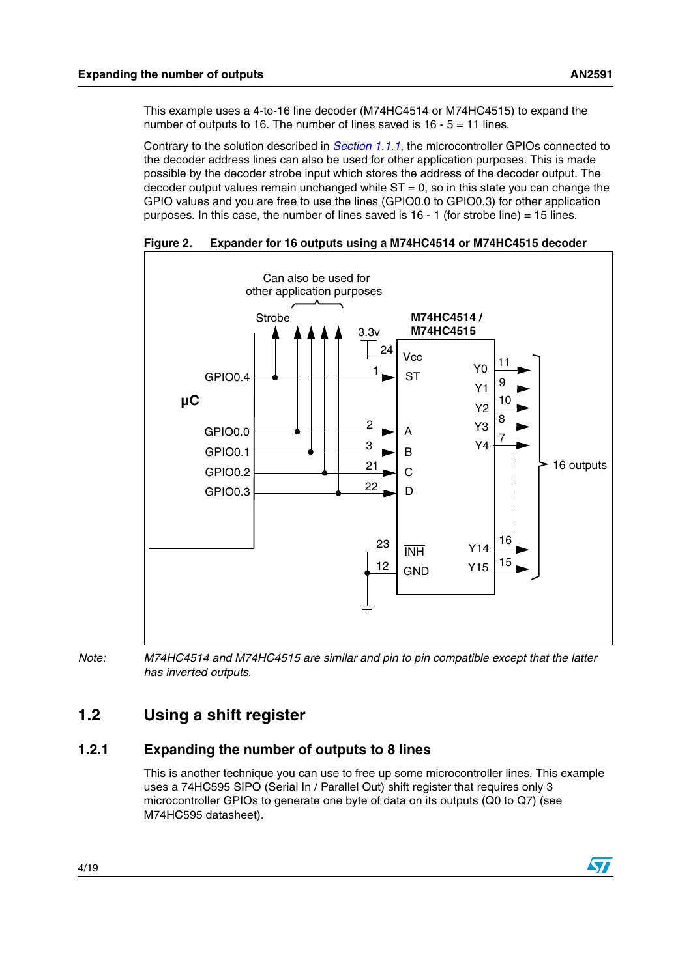$\sqrt{2}$ 

This example uses a 4-to-16 line decoder (M74HC4514 or M74HC4515) to expand the number of outputs to 16. The number of lines saved is  $16 - 5 = 11$  lines.

Contrary to the solution described in *[Section 1.1.1](#page-2-2)*, the microcontroller GPIOs connected to the decoder address lines can also be used for other application purposes. This is made possible by the decoder strobe input which stores the address of the decoder output. The decoder output values remain unchanged while  $ST = 0$ , so in this state you can change the GPIO values and you are free to use the lines (GPIO0.0 to GPIO0.3) for other application purposes. In this case, the number of lines saved is  $16 - 1$  (for strobe line) = 15 lines.



**Figure 2. Expander for 16 outputs using a M74HC4514 or M74HC4515 decoder**

*Note: M74HC4514 and M74HC4515 are similar and pin to pin compatible except that the latter has inverted outputs.*

## <span id="page-3-0"></span>**1.2 Using a shift register**

#### <span id="page-3-1"></span>**1.2.1 Expanding the number of outputs to 8 lines**

This is another technique you can use to free up some microcontroller lines. This example uses a 74HC595 SIPO (Serial In / Parallel Out) shift register that requires only 3 microcontroller GPIOs to generate one byte of data on its outputs (Q0 to Q7) (see M74HC595 datasheet).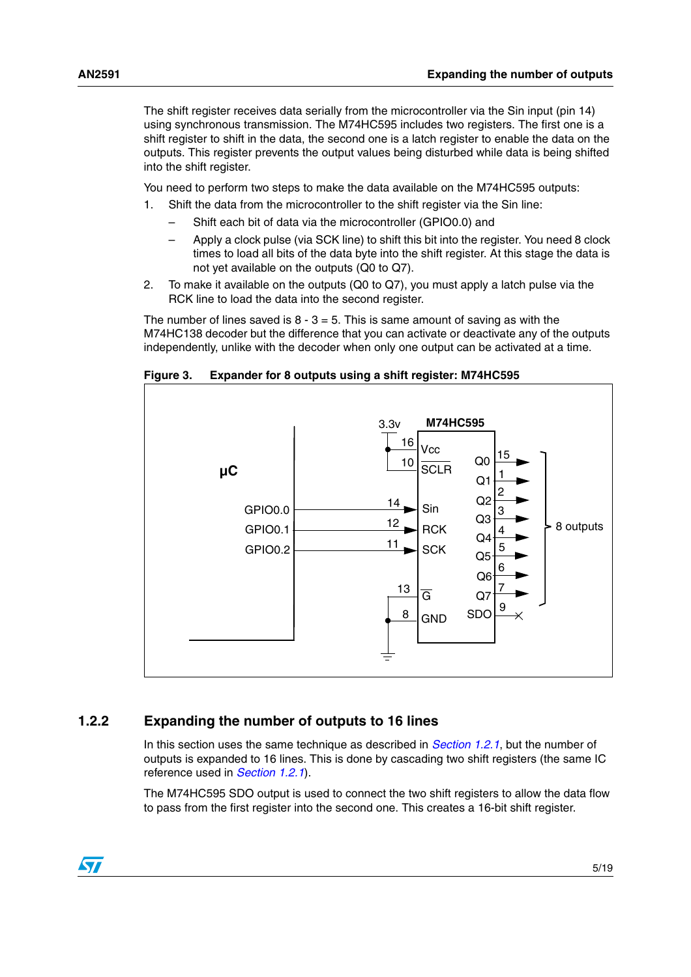The shift register receives data serially from the microcontroller via the Sin input (pin 14) using synchronous transmission. The M74HC595 includes two registers. The first one is a shift register to shift in the data, the second one is a latch register to enable the data on the outputs. This register prevents the output values being disturbed while data is being shifted into the shift register.

You need to perform two steps to make the data available on the M74HC595 outputs:

- 1. Shift the data from the microcontroller to the shift register via the Sin line:
	- Shift each bit of data via the microcontroller (GPIO0.0) and
	- Apply a clock pulse (via SCK line) to shift this bit into the register. You need 8 clock times to load all bits of the data byte into the shift register. At this stage the data is not yet available on the outputs (Q0 to Q7).
- 2. To make it available on the outputs (Q0 to Q7), you must apply a latch pulse via the RCK line to load the data into the second register.

The number of lines saved is  $8 - 3 = 5$ . This is same amount of saving as with the M74HC138 decoder but the difference that you can activate or deactivate any of the outputs independently, unlike with the decoder when only one output can be activated at a time.

**Figure 3. Expander for 8 outputs using a shift register: M74HC595**



#### <span id="page-4-0"></span>**1.2.2 Expanding the number of outputs to 16 lines**

In this section uses the same technique as described in *[Section 1.2.1](#page-3-1)*, but the number of outputs is expanded to 16 lines. This is done by cascading two shift registers (the same IC reference used in *[Section 1.2.1](#page-3-1)*).

The M74HC595 SDO output is used to connect the two shift registers to allow the data flow to pass from the first register into the second one. This creates a 16-bit shift register.

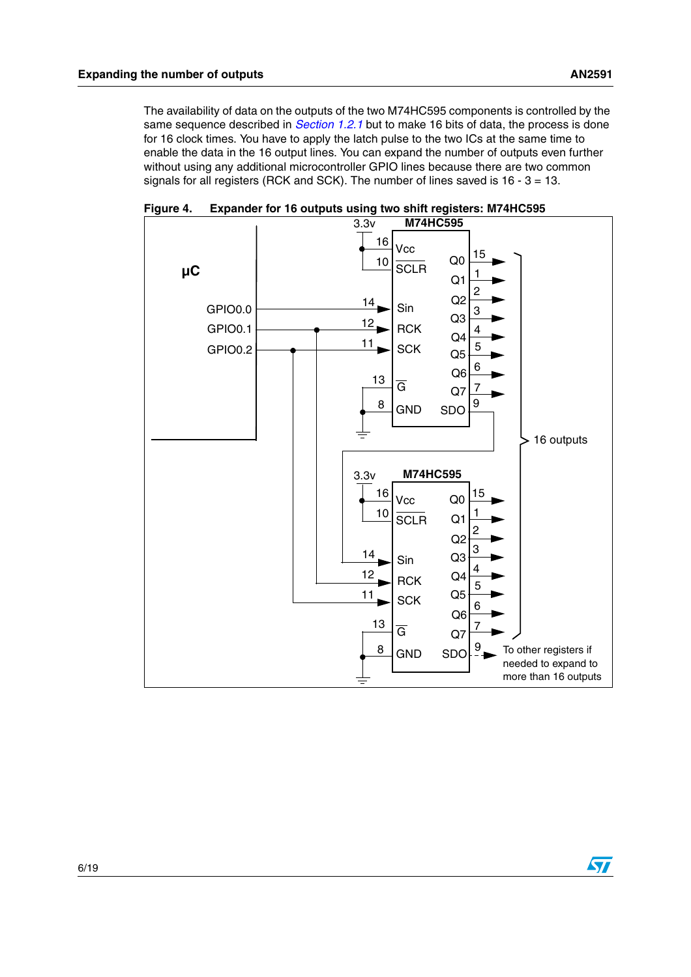The availability of data on the outputs of the two M74HC595 components is controlled by the same sequence described in *[Section 1.2.1](#page-3-1)* but to make 16 bits of data, the process is done for 16 clock times. You have to apply the latch pulse to the two ICs at the same time to enable the data in the 16 output lines. You can expand the number of outputs even further without using any additional microcontroller GPIO lines because there are two common signals for all registers (RCK and SCK). The number of lines saved is 16 - 3 = 13.



**Figure 4. Expander for 16 outputs using two shift registers: M74HC595**

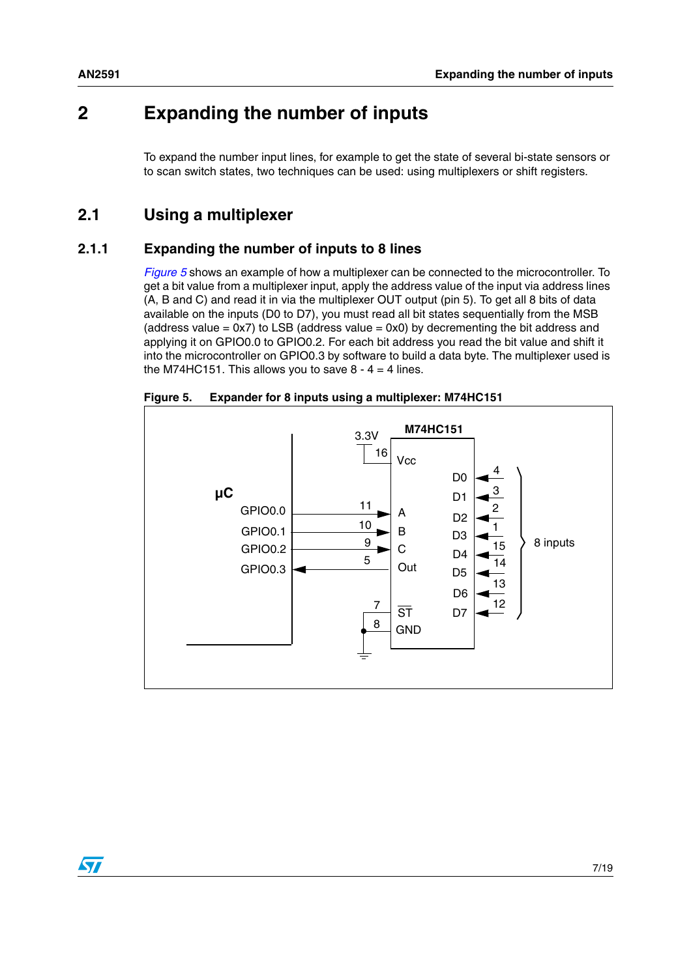## <span id="page-6-0"></span>**2 Expanding the number of inputs**

To expand the number input lines, for example to get the state of several bi-state sensors or to scan switch states, two techniques can be used: using multiplexers or shift registers.

### <span id="page-6-1"></span>**2.1 Using a multiplexer**

#### <span id="page-6-2"></span>**2.1.1 Expanding the number of inputs to 8 lines**

*[Figure 5](#page-6-3)* shows an example of how a multiplexer can be connected to the microcontroller. To get a bit value from a multiplexer input, apply the address value of the input via address lines (A, B and C) and read it in via the multiplexer OUT output (pin 5). To get all 8 bits of data available on the inputs (D0 to D7), you must read all bit states sequentially from the MSB (address value  $= 0x7$ ) to LSB (address value  $= 0x0$ ) by decrementing the bit address and applying it on GPIO0.0 to GPIO0.2. For each bit address you read the bit value and shift it into the microcontroller on GPIO0.3 by software to build a data byte. The multiplexer used is the M74HC151. This allows you to save  $8 - 4 = 4$  lines.



<span id="page-6-3"></span>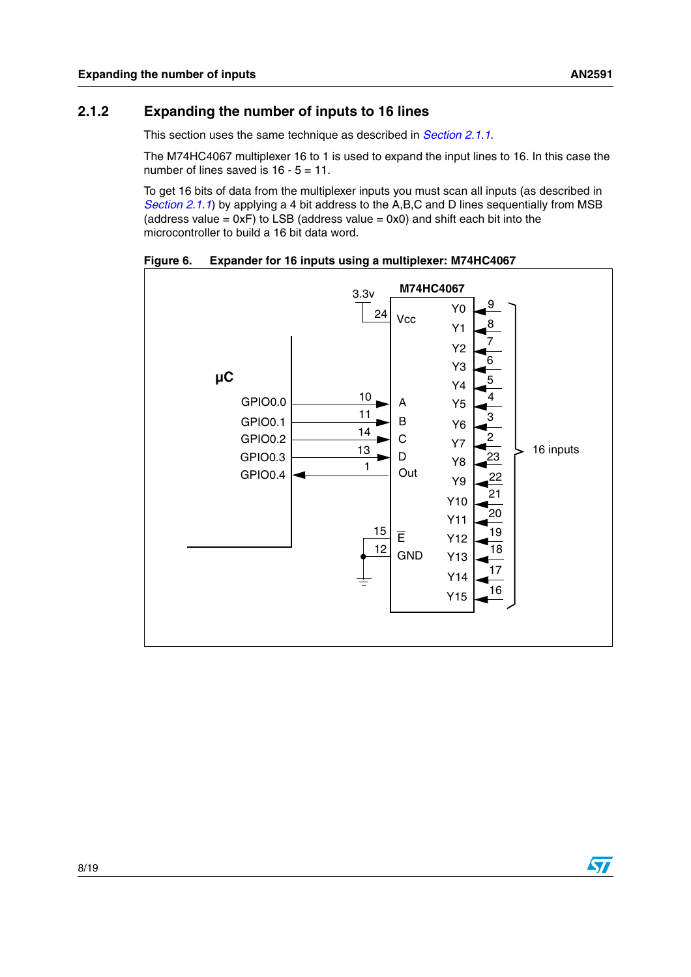#### <span id="page-7-0"></span>**2.1.2 Expanding the number of inputs to 16 lines**

This section uses the same technique as described in *[Section 2.1.1](#page-6-2)*.

The M74HC4067 multiplexer 16 to 1 is used to expand the input lines to 16. In this case the number of lines saved is 16 - 5 = 11.

To get 16 bits of data from the multiplexer inputs you must scan all inputs (as described in *[Section 2.1.1](#page-6-2)*) by applying a 4 bit address to the A,B,C and D lines sequentially from MSB (address value =  $0xF$ ) to LSB (address value =  $0x0$ ) and shift each bit into the microcontroller to build a 16 bit data word.

**Figure 6. Expander for 16 inputs using a multiplexer: M74HC4067**



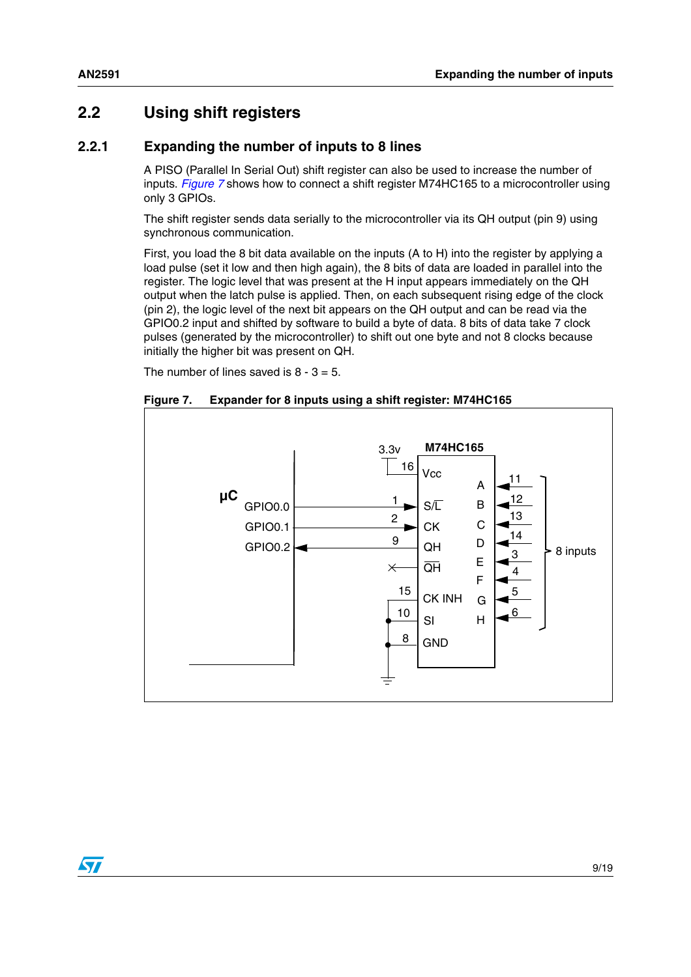$\sqrt{2}$ 

## <span id="page-8-0"></span>**2.2 Using shift registers**

#### <span id="page-8-1"></span>**2.2.1 Expanding the number of inputs to 8 lines**

A PISO (Parallel In Serial Out) shift register can also be used to increase the number of inputs. *[Figure 7](#page-8-2)* shows how to connect a shift register M74HC165 to a microcontroller using only 3 GPIOs.

The shift register sends data serially to the microcontroller via its QH output (pin 9) using synchronous communication.

First, you load the 8 bit data available on the inputs (A to H) into the register by applying a load pulse (set it low and then high again), the 8 bits of data are loaded in parallel into the register. The logic level that was present at the H input appears immediately on the QH output when the latch pulse is applied. Then, on each subsequent rising edge of the clock (pin 2), the logic level of the next bit appears on the QH output and can be read via the GPIO0.2 input and shifted by software to build a byte of data. 8 bits of data take 7 clock pulses (generated by the microcontroller) to shift out one byte and not 8 clocks because initially the higher bit was present on QH.

The number of lines saved is  $8 - 3 = 5$ .

<span id="page-8-2"></span>

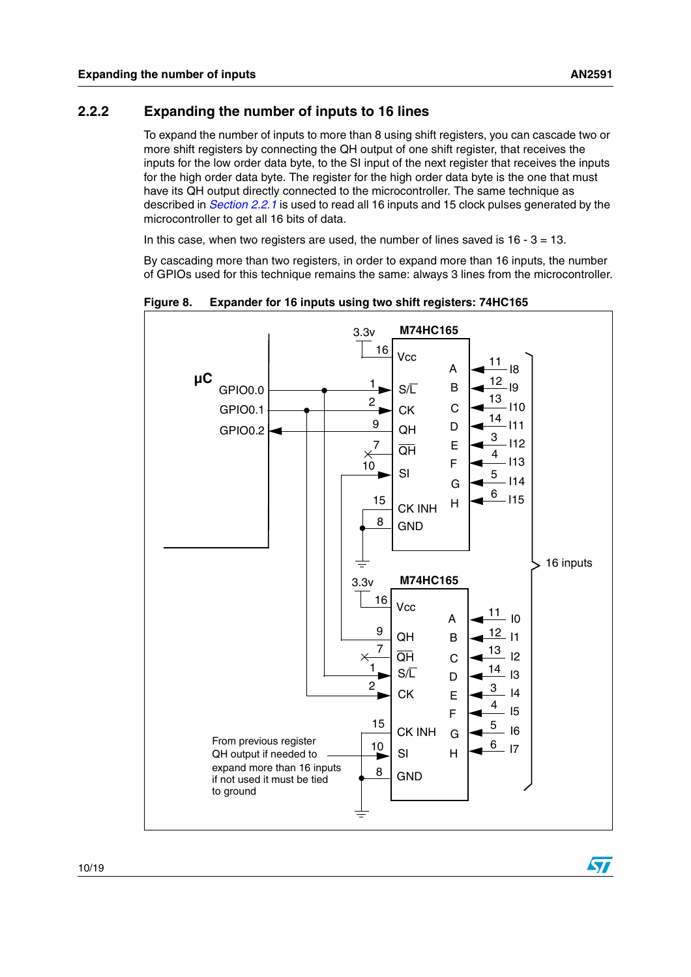#### <span id="page-9-0"></span>**2.2.2 Expanding the number of inputs to 16 lines**

To expand the number of inputs to more than 8 using shift registers, you can cascade two or more shift registers by connecting the QH output of one shift register, that receives the inputs for the low order data byte, to the SI input of the next register that receives the inputs for the high order data byte. The register for the high order data byte is the one that must have its QH output directly connected to the microcontroller. The same technique as described in *[Section 2.2.1](#page-8-1)* is used to read all 16 inputs and 15 clock pulses generated by the microcontroller to get all 16 bits of data.

In this case, when two registers are used, the number of lines saved is  $16 - 3 = 13$ .

By cascading more than two registers, in order to expand more than 16 inputs, the number of GPIOs used for this technique remains the same: always 3 lines from the microcontroller.



**Figure 8. Expander for 16 inputs using two shift registers: 74HC165**

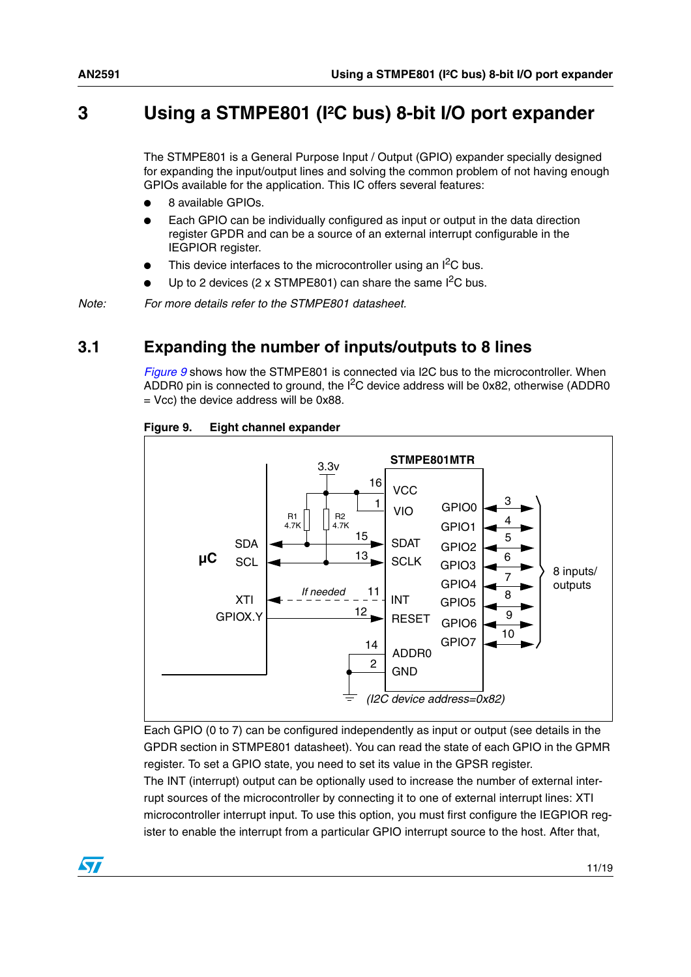## <span id="page-10-0"></span>**3 Using a STMPE801 (I²C bus) 8-bit I/O port expander**

The STMPE801 is a General Purpose Input / Output (GPIO) expander specially designed for expanding the input/output lines and solving the common problem of not having enough GPIOs available for the application. This IC offers several features:

- 8 available GPIOs.
- Each GPIO can be individually configured as input or output in the data direction register GPDR and can be a source of an external interrupt configurable in the IEGPIOR register.
- This device interfaces to the microcontroller using an  $I^2C$  bus.
- Up to 2 devices (2 x STMPE801) can share the same  $I^2C$  bus.

*Note: For more details refer to the STMPE801 datasheet.*

### <span id="page-10-1"></span>**3.1 Expanding the number of inputs/outputs to 8 lines**

*[Figure 9](#page-10-2)* shows how the STMPE801 is connected via I2C bus to the microcontroller. When ADDR0 pin is connected to ground, the  $I^2C$  device address will be 0x82, otherwise (ADDR0 = Vcc) the device address will be 0x88.



#### <span id="page-10-2"></span>**Figure 9. Eight channel expander**

Each GPIO (0 to 7) can be configured independently as input or output (see details in the GPDR section in STMPE801 datasheet). You can read the state of each GPIO in the GPMR register. To set a GPIO state, you need to set its value in the GPSR register.

The INT (interrupt) output can be optionally used to increase the number of external interrupt sources of the microcontroller by connecting it to one of external interrupt lines: XTI microcontroller interrupt input. To use this option, you must first configure the IEGPIOR register to enable the interrupt from a particular GPIO interrupt source to the host. After that,

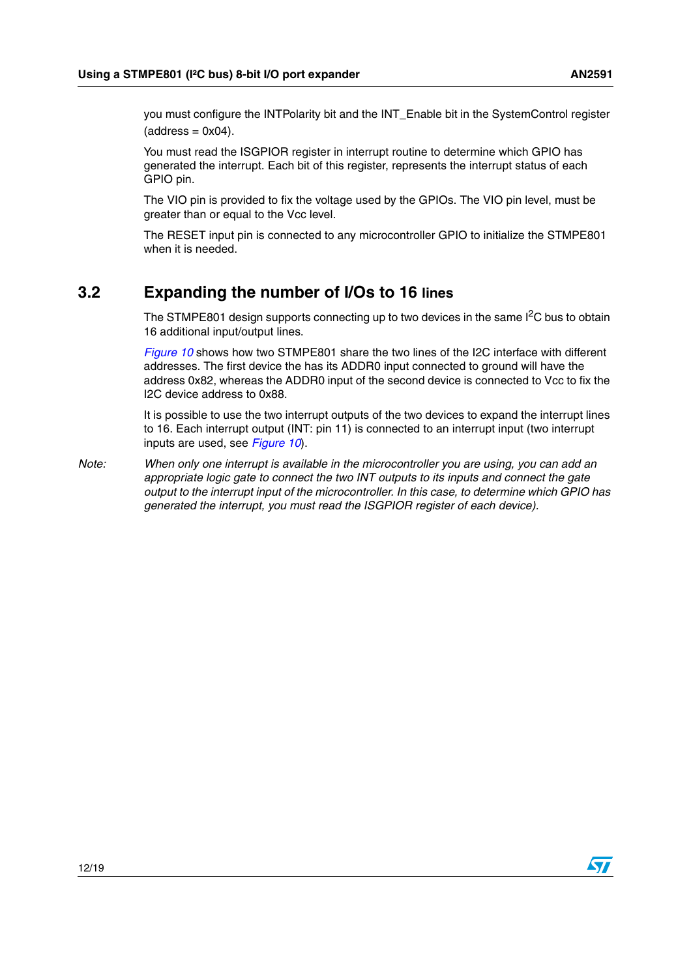you must configure the INTPolarity bit and the INT\_Enable bit in the SystemControl register  $(address = 0x04)$ .

You must read the ISGPIOR register in interrupt routine to determine which GPIO has generated the interrupt. Each bit of this register, represents the interrupt status of each GPIO pin.

The VIO pin is provided to fix the voltage used by the GPIOs. The VIO pin level, must be greater than or equal to the Vcc level.

The RESET input pin is connected to any microcontroller GPIO to initialize the STMPE801 when it is needed.

### <span id="page-11-0"></span>**3.2 Expanding the number of I/Os to 16 lines**

The STMPE801 design supports connecting up to two devices in the same  $I<sup>2</sup>C$  bus to obtain 16 additional input/output lines.

*[Figure 10](#page-12-0)* shows how two STMPE801 share the two lines of the I2C interface with different addresses. The first device the has its ADDR0 input connected to ground will have the address 0x82, whereas the ADDR0 input of the second device is connected to Vcc to fix the I2C device address to 0x88.

It is possible to use the two interrupt outputs of the two devices to expand the interrupt lines to 16. Each interrupt output (INT: pin 11) is connected to an interrupt input (two interrupt inputs are used, see *[Figure 10](#page-12-0)*).

*Note: When only one interrupt is available in the microcontroller you are using, you can add an appropriate logic gate to connect the two INT outputs to its inputs and connect the gate output to the interrupt input of the microcontroller. In this case, to determine which GPIO has generated the interrupt, you must read the ISGPIOR register of each device).*

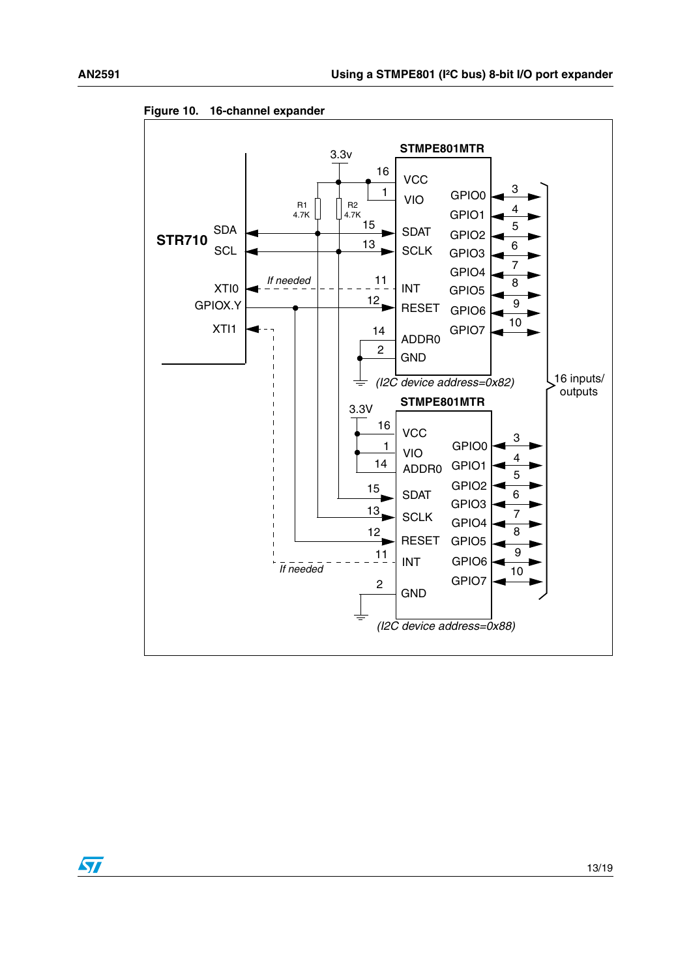

<span id="page-12-0"></span>**Figure 10. 16-channel expander**

 $\sqrt{2}$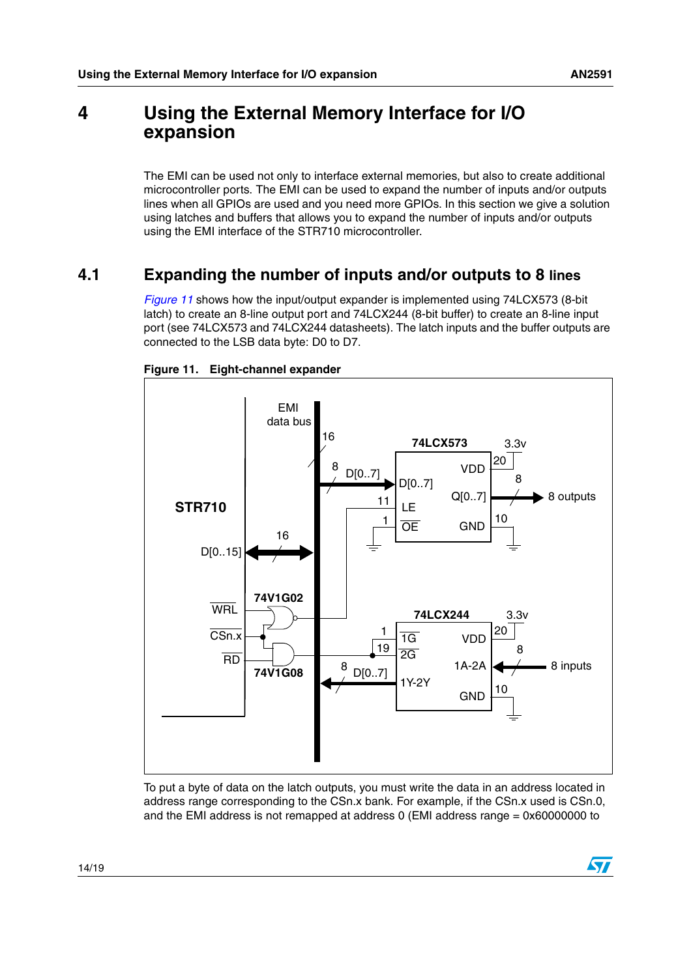## <span id="page-13-0"></span>**4 Using the External Memory Interface for I/O expansion**

The EMI can be used not only to interface external memories, but also to create additional microcontroller ports. The EMI can be used to expand the number of inputs and/or outputs lines when all GPIOs are used and you need more GPIOs. In this section we give a solution using latches and buffers that allows you to expand the number of inputs and/or outputs using the EMI interface of the STR710 microcontroller.

## <span id="page-13-1"></span>**4.1 Expanding the number of inputs and/or outputs to 8 lines**

*[Figure 11](#page-13-2)* shows how the input/output expander is implemented using 74LCX573 (8-bit latch) to create an 8-line output port and 74LCX244 (8-bit buffer) to create an 8-line input port (see 74LCX573 and 74LCX244 datasheets). The latch inputs and the buffer outputs are connected to the LSB data byte: D0 to D7.



<span id="page-13-2"></span>**Figure 11. Eight-channel expander**

To put a byte of data on the latch outputs, you must write the data in an address located in address range corresponding to the CSn.x bank. For example, if the CSn.x used is CSn.0, and the EMI address is not remapped at address 0 (EMI address range = 0x60000000 to

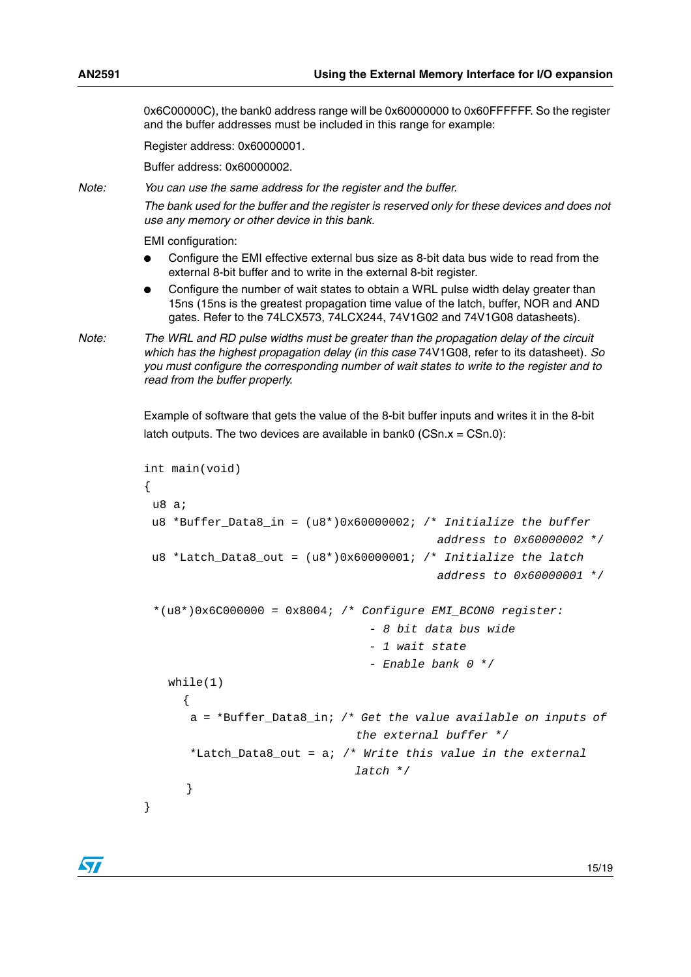0x6C00000C), the bank0 address range will be 0x60000000 to 0x60FFFFFF. So the register and the buffer addresses must be included in this range for example:

Register address: 0x60000001.

Buffer address: 0x60000002.

*Note: You can use the same address for the register and the buffer.*

*The bank used for the buffer and the register is reserved only for these devices and does not use any memory or other device in this bank.*

EMI configuration:

- Configure the EMI effective external bus size as 8-bit data bus wide to read from the external 8-bit buffer and to write in the external 8-bit register.
- Configure the number of wait states to obtain a WRL pulse width delay greater than 15ns (15ns is the greatest propagation time value of the latch, buffer, NOR and AND gates. Refer to the 74LCX573, 74LCX244, 74V1G02 and 74V1G08 datasheets).

*Note: The WRL and RD pulse widths must be greater than the propagation delay of the circuit which has the highest propagation delay (in this case* 74V1G08, refer to its datasheet)*. So you must configure the corresponding number of wait states to write to the register and to read from the buffer properly.*

> Example of software that gets the value of the 8-bit buffer inputs and writes it in the 8-bit latch outputs. The two devices are available in bank0 (CSn. $x = C$ Sn.0):

```
int main(void)
{
 u8 a;
 u8 *Buffer Data8 in = (u8*)0x60000002; /* Initialize the buffer
                                           address to 0x60000002 */
 u8 *Latch_Data8_out = (u8*)0x60000001; /* Initialize the latch 
                                           address to 0x60000001 */
 *(u8*)0x6C000000 = 0x8004; /* Configure EMI_BCON0 register:
                                 - 8 bit data bus wide
                                 - 1 wait state
                                 - Enable bank 0 */
   while(1)
      {
      a = *Buffer_Data8_in; /* Get the value available on inputs of 
                               the external buffer */
      *Latch_Data8_out = a; /* Write this value in the external 
                               latch */
      }
}
```
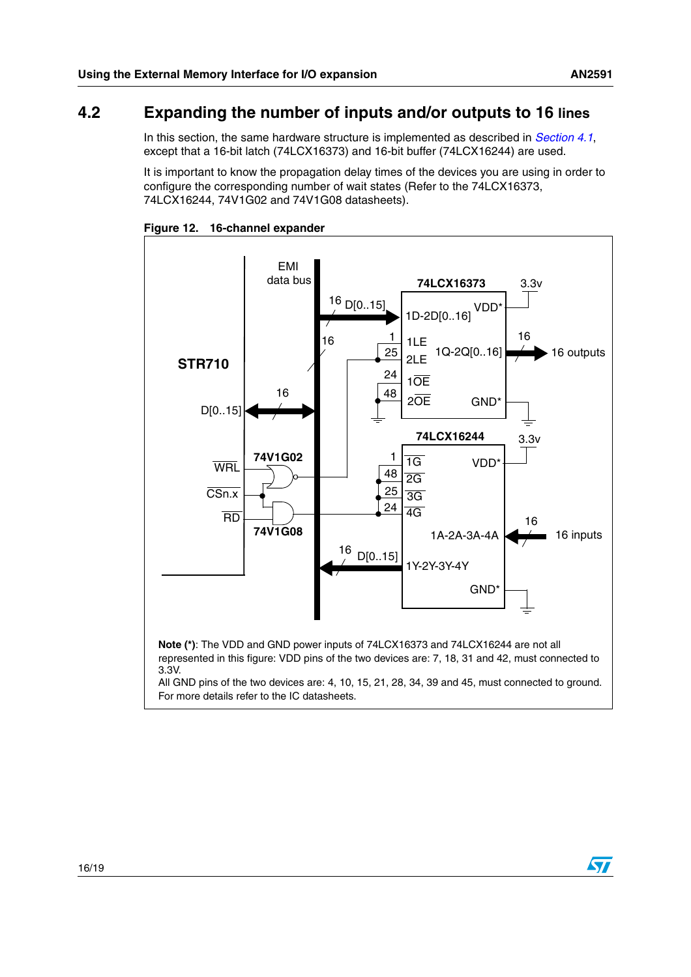#### <span id="page-15-0"></span>**4.2 Expanding the number of inputs and/or outputs to 16 lines**

In this section, the same hardware structure is implemented as described in *[Section 4.1](#page-13-1)*, except that a 16-bit latch (74LCX16373) and 16-bit buffer (74LCX16244) are used.

It is important to know the propagation delay times of the devices you are using in order to configure the corresponding number of wait states (Refer to the 74LCX16373, 74LCX16244, 74V1G02 and 74V1G08 datasheets).



**Figure 12. 16-channel expander**

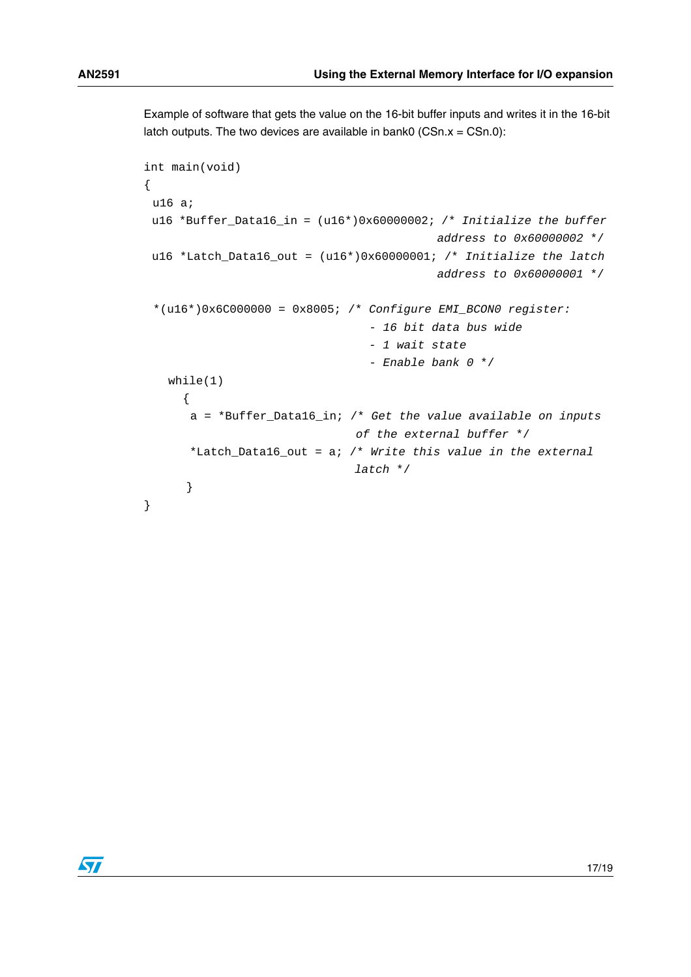Example of software that gets the value on the 16-bit buffer inputs and writes it in the 16-bit latch outputs. The two devices are available in bank0 (CSn. $x = C$ Sn.0):

```
int main(void)
{
 u16 a;
 u16 *Buffer_Data16_in = (u16*)0x60000002; /* Initialize the buffer 
                                           address to 0x60000002 */
 u16 *Latch_Data16_out = (u16*)0x60000001; /* Initialize the latch 
                                           address to 0x60000001 */
 *(u16*)0x6C000000 = 0x8005; /* Configure EMI_BCON0 register:
                                 - 16 bit data bus wide
                                 - 1 wait state
                                 - Enable bank 0 */
   while(1)
     {
      a = *Buffer_Data16_in; /* Get the value available on inputs 
                               of the external buffer */
      *Latch_Data16_out = a; /* Write this value in the external 
                               latch */
      }
}
```
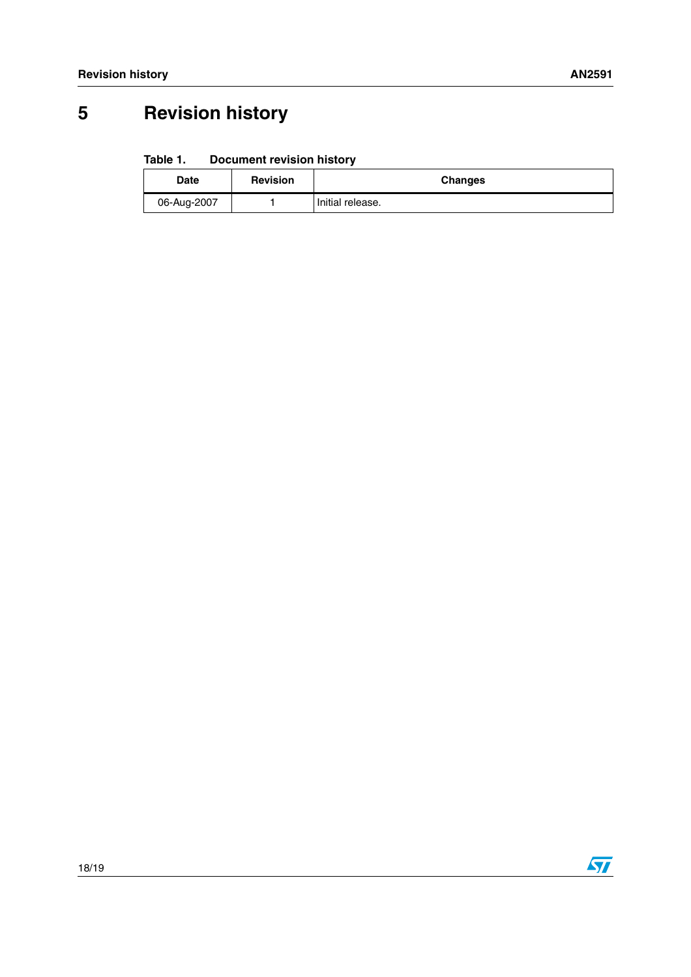# <span id="page-17-0"></span>**5 Revision history**

#### Table 1. **Document revision history**

| <b>Date</b> | <b>Revision</b> | <b>Changes</b>   |
|-------------|-----------------|------------------|
| 06-Aug-2007 |                 | Initial release. |